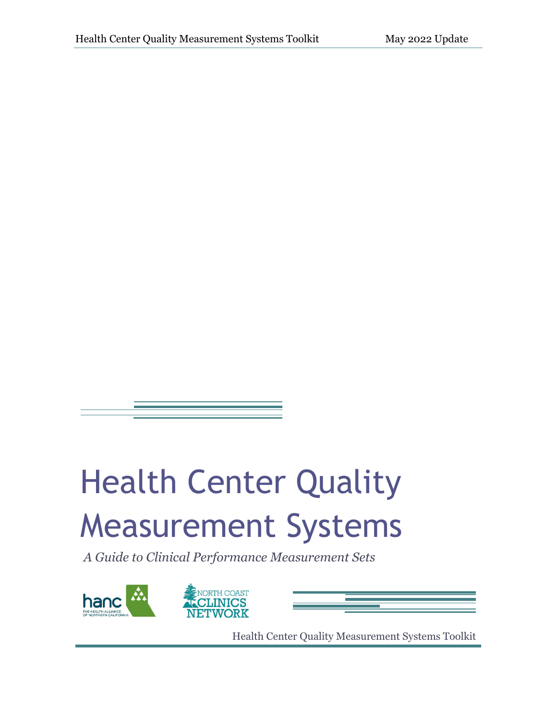# Health Center Quality Measurement Systems

*A Guide to Clinical Performance Measurement Sets* 





Health Center Quality Measurement Systems Toolkit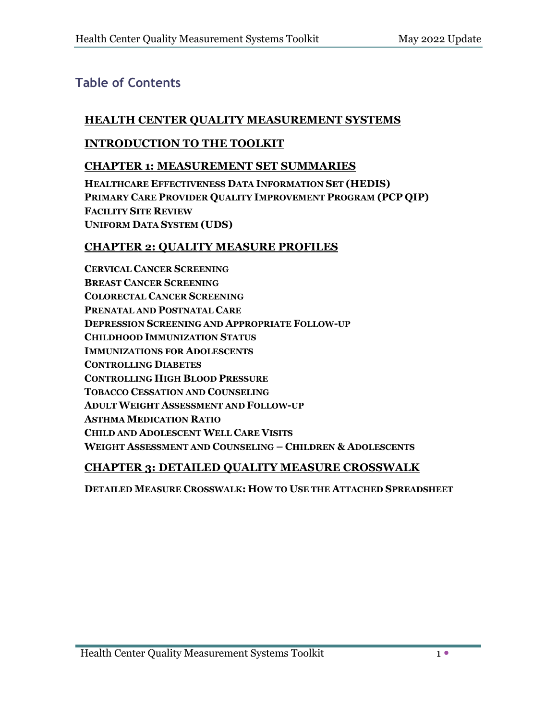#### **Table of Contents**

#### **HEALTH CENTER QUALITY MEASUREMENT SYSTEMS**

#### **INTRODUCTION TO THE TOOLKIT**

#### **CHAPTER 1: MEASUREMENT SET SUMMARIES**

**HEALTHCARE EFFECTIVENESS DATA INFORMATION SET (HEDIS) PRIMARY CARE PROVIDER QUALITY IMPROVEMENT PROGRAM (PCP QIP) FACILITY SITE REVIEW UNIFORM DATA SYSTEM (UDS)**

#### **CHAPTER 2: QUALITY MEASURE PROFILES**

**CERVICAL CANCER SCREENING BREAST CANCER SCREENING COLORECTAL CANCER SCREENING PRENATAL AND POSTNATAL CARE DEPRESSION SCREENING AND APPROPRIATE FOLLOW-UP CHILDHOOD IMMUNIZATION STATUS IMMUNIZATIONS FOR ADOLESCENTS CONTROLLING DIABETES CONTROLLING HIGH BLOOD PRESSURE TOBACCO CESSATION AND COUNSELING ADULT WEIGHT ASSESSMENT AND FOLLOW-UP ASTHMA MEDICATION RATIO CHILD AND ADOLESCENT WELL CARE VISITS WEIGHT ASSESSMENT AND COUNSELING – CHILDREN & ADOLESCENTS**

#### **CHAPTER 3: DETAILED QUALITY MEASURE CROSSWALK**

**DETAILED MEASURE CROSSWALK: HOW TO USE THE ATTACHED SPREADSHEET**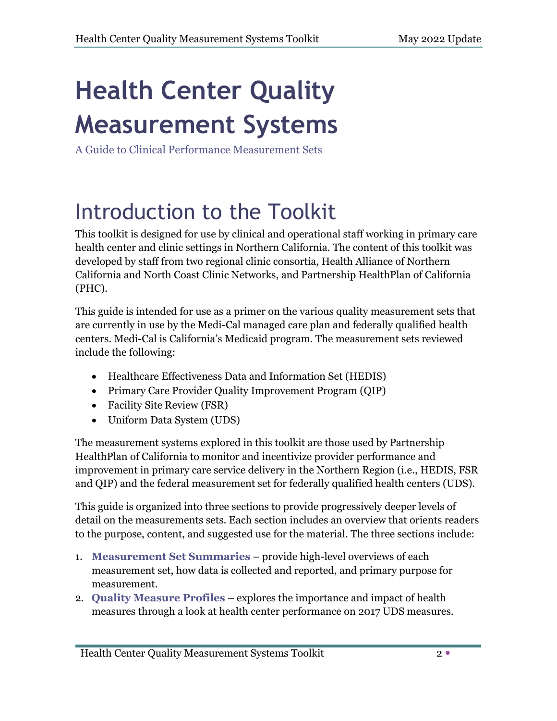## **Health Center Quality Measurement Systems**

A Guide to Clinical Performance Measurement Sets

### Introduction to the Toolkit

This toolkit is designed for use by clinical and operational staff working in primary care health center and clinic settings in Northern California. The content of this toolkit was developed by staff from two regional clinic consortia, Health Alliance of Northern California and North Coast Clinic Networks, and Partnership HealthPlan of California (PHC).

This guide is intended for use as a primer on the various quality measurement sets that are currently in use by the Medi-Cal managed care plan and federally qualified health centers. Medi-Cal is California's Medicaid program. The measurement sets reviewed include the following:

- Healthcare Effectiveness Data and Information Set (HEDIS)
- Primary Care Provider Quality Improvement Program (QIP)
- Facility Site Review (FSR)
- Uniform Data System (UDS)

The measurement systems explored in this toolkit are those used by Partnership HealthPlan of California to monitor and incentivize provider performance and improvement in primary care service delivery in the Northern Region (i.e., HEDIS, FSR and QIP) and the federal measurement set for federally qualified health centers (UDS).

This guide is organized into three sections to provide progressively deeper levels of detail on the measurements sets. Each section includes an overview that orients readers to the purpose, content, and suggested use for the material. The three sections include:

- 1. **Measurement Set Summaries** provide high-level overviews of each measurement set, how data is collected and reported, and primary purpose for measurement.
- 2. **Quality Measure Profiles** explores the importance and impact of health measures through a look at health center performance on 2017 UDS measures.